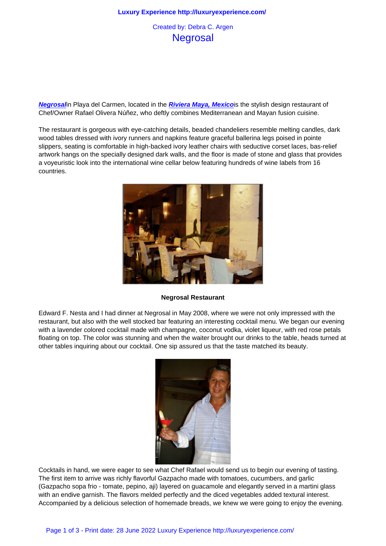## **Negrosal**

**Negrosal**in Playa del Carmen, located in the **Riviera Maya, Mexico**is the stylish design restaurant of Chef/Owner Rafael Olivera Núñez, who deftly combines Mediterranean and Mayan fusion cuisine.

The restaurant is gorgeous with eye-catching details, beaded chandeliers resemble melting candles, dark [wood tabl](http://www.negrosal.com/)es dressed with ivory runners and [napkins feature graceful](http://www.rivieramaya.com/) ballerina legs poised in pointe slippers, seating is comfortable in high-backed ivory leather chairs with seductive corset laces, bas-relief artwork hangs on the specially designed dark walls, and the floor is made of stone and glass that provides a voyeuristic look into the international wine cellar below featuring hundreds of wine labels from 16 countries.



**Negrosal Restaurant**

Edward F. Nesta and I had dinner at Negrosal in May 2008, where we were not only impressed with the restaurant, but also with the well stocked bar featuring an interesting cocktail menu. We began our evening with a lavender colored cocktail made with champagne, coconut vodka, violet liqueur, with red rose petals floating on top. The color was stunning and when the waiter brought our drinks to the table, heads turned at other tables inquiring about our cocktail. One sip assured us that the taste matched its beauty.



Cocktails in hand, we were eager to see what Chef Rafael would send us to begin our evening of tasting. The first item to arrive was richly flavorful Gazpacho made with tomatoes, cucumbers, and garlic (Gazpacho sopa frio - tomate, pepino, aji) layered on guacamole and elegantly served in a martini glass with an endive garnish. The flavors melded perfectly and the diced vegetables added textural interest. Accompanied by a delicious selection of homemade breads, we knew we were going to enjoy the evening.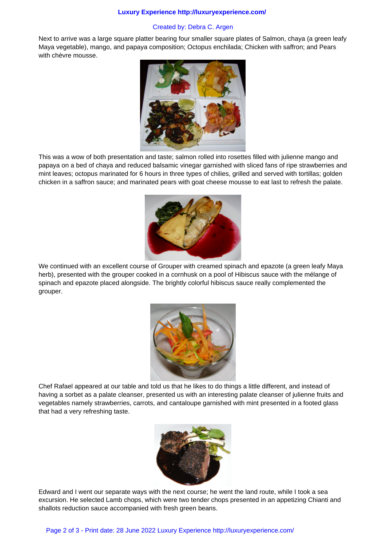## **Luxury Experience http://luxuryexperience.com/**

## Created by: Debra C. Argen

Next to arrive was a large square platter bearing four smaller square plates of Salmon, chaya (a green leafy Maya vegetable), mango, and papaya composition; Octopus enchilada; Chicken with saffron; and Pears with chèvre mousse.



This was a wow of both presentation and taste; salmon rolled into rosettes filled with julienne mango and papaya on a bed of chaya and reduced balsamic vinegar garnished with sliced fans of ripe strawberries and mint leaves; octopus marinated for 6 hours in three types of chilies, grilled and served with tortillas; golden chicken in a saffron sauce; and marinated pears with goat cheese mousse to eat last to refresh the palate.



We continued with an excellent course of Grouper with creamed spinach and epazote (a green leafy Maya herb), presented with the grouper cooked in a cornhusk on a pool of Hibiscus sauce with the mélange of spinach and epazote placed alongside. The brightly colorful hibiscus sauce really complemented the grouper.



Chef Rafael appeared at our table and told us that he likes to do things a little different, and instead of having a sorbet as a palate cleanser, presented us with an interesting palate cleanser of julienne fruits and vegetables namely strawberries, carrots, and cantaloupe garnished with mint presented in a footed glass that had a very refreshing taste.



Edward and I went our separate ways with the next course; he went the land route, while I took a sea excursion. He selected Lamb chops, which were two tender chops presented in an appetizing Chianti and shallots reduction sauce accompanied with fresh green beans.